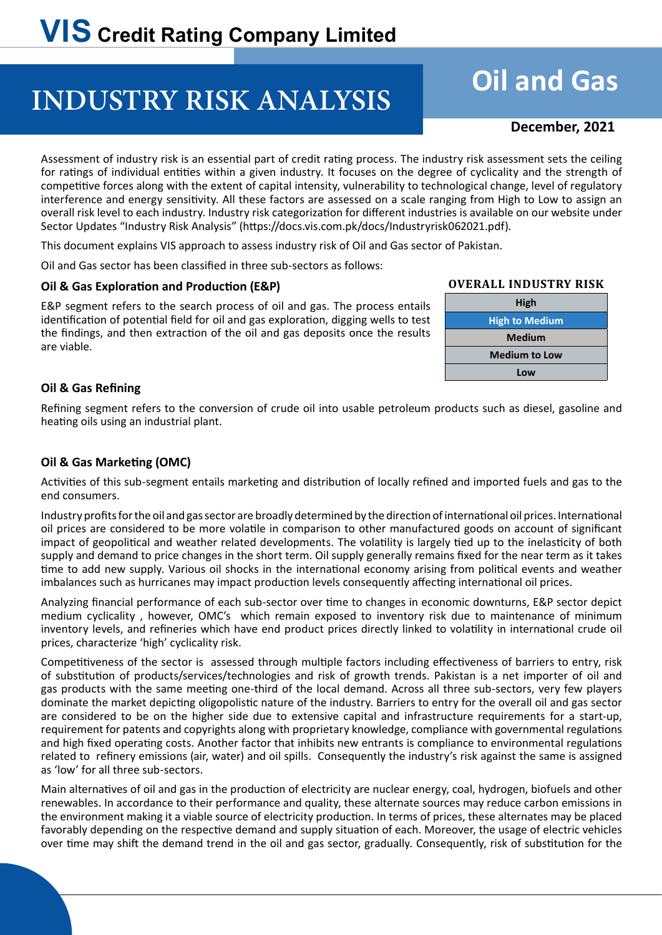## **INDUSTRY RISK ANALYSIS**

# **Oil and Gas**

### **December, 2021**

Assessment of industry risk is an essential part of credit rating process. The industry risk assessment sets the ceiling for ratings of individual entities within a given industry. It focuses on the degree of cyclicality and the strength of competitive forces along with the extent of capital intensity, vulnerability to technological change, level of regulatory interference and energy sensitivity. All these factors are assessed on a scale ranging from High to Low to assign an overall risk level to each industry. Industry risk categorization for different industries is available on our website under Sector Updates "Industry Risk Analysis" (https://docs.vis.com.pk/docs/Industryrisk062021.pdf).

This document explains VIS approach to assess industry risk of Oil and Gas sector of Pakistan.

Oil and Gas sector has been classified in three sub-sectors as follows:

#### **Oil & Gas Exploration and Production (E&P)**

E&P segment refers to the search process of oil and gas. The process entails identification of potential field for oil and gas exploration, digging wells to test the findings, and then extraction of the oil and gas deposits once the results are viable.

#### **Overall Industry Risk**



#### **Oil & Gas Refining**

Refining segment refers to the conversion of crude oil into usable petroleum products such as diesel, gasoline and heating oils using an industrial plant.

#### **Oil & Gas Marketing (OMC)**

Activities of this sub-segment entails marketing and distribution of locally refined and imported fuels and gas to the end consumers.

Industry profits for the oil and gas sector are broadly determined by the direction of international oil prices. International oil prices are considered to be more volatile in comparison to other manufactured goods on account of significant impact of geopolitical and weather related developments. The volatility is largely tied up to the inelasticity of both supply and demand to price changes in the short term. Oil supply generally remains fixed for the near term as it takes time to add new supply. Various oil shocks in the international economy arising from political events and weather imbalances such as hurricanes may impact production levels consequently affecting international oil prices.

Analyzing financial performance of each sub-sector over time to changes in economic downturns, E&P sector depict medium cyclicality , however, OMC's which remain exposed to inventory risk due to maintenance of minimum inventory levels, and refineries which have end product prices directly linked to volatility in international crude oil prices, characterize 'high' cyclicality risk.

Competitiveness of the sector is assessed through multiple factors including effectiveness of barriers to entry, risk of substitution of products/services/technologies and risk of growth trends. Pakistan is a net importer of oil and gas products with the same meeting one-third of the local demand. Across all three sub-sectors, very few players dominate the market depicting oligopolistic nature of the industry. Barriers to entry for the overall oil and gas sector are considered to be on the higher side due to extensive capital and infrastructure requirements for a start-up, requirement for patents and copyrights along with proprietary knowledge, compliance with governmental regulations and high fixed operating costs. Another factor that inhibits new entrants is compliance to environmental regulations related to refinery emissions (air, water) and oil spills. Consequently the industry's risk against the same is assigned as 'low' for all three sub-sectors.

Main alternatives of oil and gas in the production of electricity are nuclear energy, coal, hydrogen, biofuels and other renewables. In accordance to their performance and quality, these alternate sources may reduce carbon emissions in the environment making it a viable source of electricity production. In terms of prices, these alternates may be placed favorably depending on the respective demand and supply situation of each. Moreover, the usage of electric vehicles over time may shift the demand trend in the oil and gas sector, gradually. Consequently, risk of substitution for the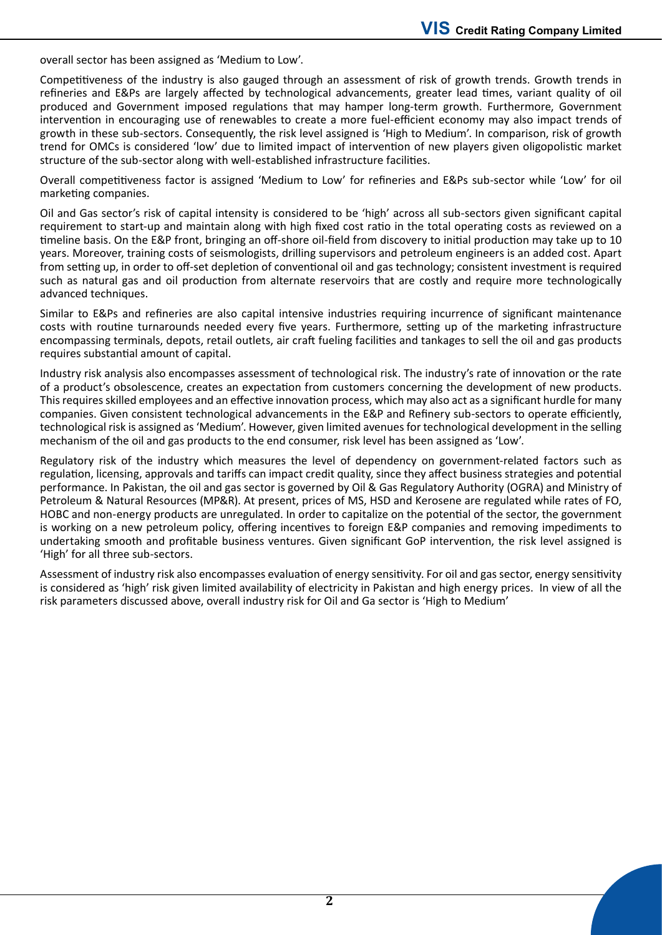overall sector has been assigned as 'Medium to Low'.

Competitiveness of the industry is also gauged through an assessment of risk of growth trends. Growth trends in refineries and E&Ps are largely affected by technological advancements, greater lead times, variant quality of oil produced and Government imposed regulations that may hamper long-term growth. Furthermore, Government intervention in encouraging use of renewables to create a more fuel-efficient economy may also impact trends of growth in these sub-sectors. Consequently, the risk level assigned is 'High to Medium'. In comparison, risk of growth trend for OMCs is considered 'low' due to limited impact of intervention of new players given oligopolistic market structure of the sub-sector along with well-established infrastructure facilities.

Overall competitiveness factor is assigned 'Medium to Low' for refineries and E&Ps sub-sector while 'Low' for oil marketing companies.

Oil and Gas sector's risk of capital intensity is considered to be 'high' across all sub-sectors given significant capital requirement to start-up and maintain along with high fixed cost ratio in the total operating costs as reviewed on a timeline basis. On the E&P front, bringing an off-shore oil-field from discovery to initial production may take up to 10 years. Moreover, training costs of seismologists, drilling supervisors and petroleum engineers is an added cost. Apart from setting up, in order to off-set depletion of conventional oil and gas technology; consistent investment is required such as natural gas and oil production from alternate reservoirs that are costly and require more technologically advanced techniques.

Similar to E&Ps and refineries are also capital intensive industries requiring incurrence of significant maintenance costs with routine turnarounds needed every five years. Furthermore, setting up of the marketing infrastructure encompassing terminals, depots, retail outlets, air craft fueling facilities and tankages to sell the oil and gas products requires substantial amount of capital.

Industry risk analysis also encompasses assessment of technological risk. The industry's rate of innovation or the rate of a product's obsolescence, creates an expectation from customers concerning the development of new products. This requires skilled employees and an effective innovation process, which may also act as a significant hurdle for many companies. Given consistent technological advancements in the E&P and Refinery sub-sectors to operate efficiently, technological risk is assigned as 'Medium'. However, given limited avenues for technological development in the selling mechanism of the oil and gas products to the end consumer, risk level has been assigned as 'Low'.

Regulatory risk of the industry which measures the level of dependency on government-related factors such as regulation, licensing, approvals and tariffs can impact credit quality, since they affect business strategies and potential performance. In Pakistan, the oil and gas sector is governed by Oil & Gas Regulatory Authority (OGRA) and Ministry of Petroleum & Natural Resources (MP&R). At present, prices of MS, HSD and Kerosene are regulated while rates of FO, HOBC and non-energy products are unregulated. In order to capitalize on the potential of the sector, the government is working on a new petroleum policy, offering incentives to foreign E&P companies and removing impediments to undertaking smooth and profitable business ventures. Given significant GoP intervention, the risk level assigned is 'High' for all three sub-sectors.

Assessment of industry risk also encompasses evaluation of energy sensitivity. For oil and gas sector, energy sensitivity is considered as 'high' risk given limited availability of electricity in Pakistan and high energy prices. In view of all the risk parameters discussed above, overall industry risk for Oil and Ga sector is 'High to Medium'